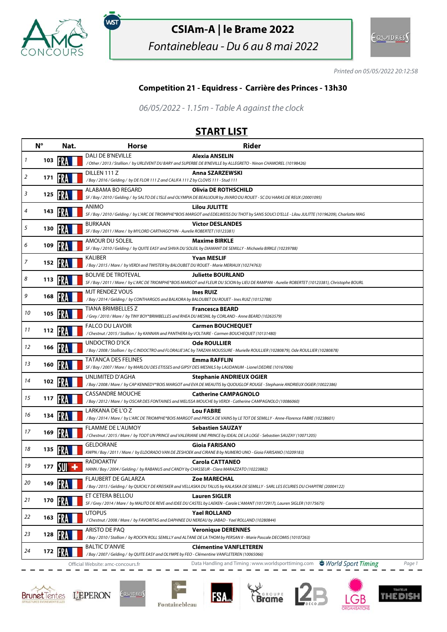

,<br>wsт

# **CSIAm-A | le Brame 2022**

Fontainebleau - Du 6 au 8 mai 2022



Printed on 05/05/2022 20:12:58

## **Competition 21 - Equidress - Carrière des Princes - 13h30**

06/05/2022 - 1.15m - Table A against the clock

## **START LIST**

|    | $N^{\circ}$ | Nat.  | <b>Horse</b>                                                                                                         | <b>Rider</b>                                                                                                                                                              |
|----|-------------|-------|----------------------------------------------------------------------------------------------------------------------|---------------------------------------------------------------------------------------------------------------------------------------------------------------------------|
| 1  | 103         |       | <b>DALI DE B'NEVILLE</b>                                                                                             | <b>Alexia ANSELIN</b><br>/ Other / 2013 / Stallion / by URLEVENT DU BARY and SUPERBE DE B'NEVILLE by ALLEGRETO - Ninon CHAMOREL (10198426)                                |
|    |             |       | DILLEN 111 Z                                                                                                         | Anna SZARZEWSKI                                                                                                                                                           |
| 2  | 171         |       | /Bay / 2016 / Gelding / by DE FLOR 111 Z and CALIFA 111 Z by CLOVIS 111 - Stud 111                                   |                                                                                                                                                                           |
| 3  |             |       | ALABAMA BO REGARD                                                                                                    | <b>Olivia DE ROTHSCHILD</b>                                                                                                                                               |
|    | 125         |       |                                                                                                                      | SF / Bay / 2010 / Gelding / by SALTO DE L'ISLE and OLYMPIA DE BEAUJOUR by JIVARO DU ROUET - SC DU HARAS DE REUX (20001095)                                                |
| 4  | 143         |       | ANIMO                                                                                                                | <b>Lilou JULITTE</b><br>SF / Bay / 2010 / Gelding / by L'ARC DE TRIOMPHE*BOIS MARGOT and EDELWEISS DU THOT by SANS SOUCI D'ELLE - Lilou JULITTE (10196209), Charlotte MAG |
|    |             |       | <b>BURKAAN</b>                                                                                                       | <b>Victor DESLANDES</b>                                                                                                                                                   |
| 5  | 130         |       | SF / Bay / 2011 / Mare / by MYLORD CARTHAGO*HN - Aurelie ROBERTET (10123381)                                         |                                                                                                                                                                           |
| 6  | 109         |       | AMOUR DU SOLEIL                                                                                                      | <b>Maxime BIRKLE</b>                                                                                                                                                      |
|    |             |       |                                                                                                                      | SF / Bay / 2010 / Gelding / by QUITE EASY and SHIVA DU SOLEIL by DIAMANT DE SEMILLY - Michaela BIRKLE (10239788)                                                          |
| 7  | 152         |       | KALIBER<br>/Bay / 2015 / Mare / by VERDI and TWISTER by BALOUBET DU ROUET - Marie MERIAUX (10274763)                 | <b>Yvan MESLIF</b>                                                                                                                                                        |
|    |             |       | <b>BOLIVIE DE TROTEVAL</b>                                                                                           | <b>Juliette BOURLAND</b>                                                                                                                                                  |
| 8  | 113         |       |                                                                                                                      | SF / Bay / 2011 / Mare / by L'ARC DE TRIOMPHE*BOIS MARGOT and FLEUR DU SCION by LIEU DE RAMPAN - Aurelie ROBERTET (10123381), Christophe BOURL                            |
| 9  | 168         |       | MJT RENDEZ VOUS                                                                                                      | <b>Ines RUIZ</b>                                                                                                                                                          |
|    |             |       | /Bay / 2014 / Gelding / by CONTHARGOS and BALKORA by BALOUBET DU ROUET - Ines RUIZ (10152788)                        |                                                                                                                                                                           |
| 10 | 105         |       | <b>TIANA BRIMBELLES Z</b>                                                                                            | <b>Francesca BEARD</b>                                                                                                                                                    |
|    |             |       | /Grey / 2010 / Mare / by TINY BOY*BRIMBELLES and RHEA DU MESNIL by CORLAND - Anne BEARD (10263579)                   |                                                                                                                                                                           |
| 11 | 112         |       | <b>FALCO DU LAVOIR</b><br>/Chestnut/2015/Stallion/ by KANNAN and PANTHERA by VOLTAIRE - Carmen BOUCHEQUET (10131480) | <b>Carmen BOUCHEQUET</b>                                                                                                                                                  |
|    |             |       | UNDOCTRO D'ICK                                                                                                       | <b>Ode ROULLIER</b>                                                                                                                                                       |
| 12 | 166         |       |                                                                                                                      | / Bay / 2008 / Stallion / by C INDOCTRO and FLORALIE'JAC by TARZAN MOUSSURE - Murielle ROULLIER (10280879), Ode ROULLIER (10280878)                                       |
| 13 |             |       | TATANCA DES FELINES                                                                                                  | <b>Emma RAFFLIN</b>                                                                                                                                                       |
|    | 160         |       |                                                                                                                      | SF / Bay / 2007 / Mare / by MARLOU DES ETISSES and GIPSY DES MESNILS by LAUDANUM - Lionel DEDRIE (10167006)                                                               |
| 14 | 102         | 15R A | UNLIMITED D'AGHA                                                                                                     | <b>Stephanie ANDRIEUX OGIER</b>                                                                                                                                           |
|    |             |       |                                                                                                                      | /Bay / 2008 / Mare / by CAP KENNEDY*BOIS MARGOT and EVA DE MEAUTIS by QUOUGLOF ROUGE - Stephanie ANDRIEUX OGIER (10022386)                                                |
| 15 | 117         |       | <b>CASSANDRE MOUCHE</b>                                                                                              | <b>Catherine CAMPAGNOLO</b><br>/ Bay / 2012 / Mare / by OSCAR DES FONTAINES and MELISSA MOUCHE by VERDI - Catherine CAMPAGNOLO (10086060)                                 |
|    |             |       | LARKANA DE L'O Z                                                                                                     | <b>Lou FABRE</b>                                                                                                                                                          |
| 16 | 134         |       |                                                                                                                      | / Bay / 2014 / Mare / by L'ARC DE TRIOMPHE*BOIS MARGOT and PRISCA DE VAINS by LE TOT DE SEMILLY - Anne-Florence FABRE (10238601)                                          |
|    |             |       | <b>FLAMME DE L'AUMOY</b>                                                                                             | <b>Sebastien SAUZAY</b>                                                                                                                                                   |
| 17 | 169         |       |                                                                                                                      | /Chestnut/2015/Mare/ by TODT UN PRINCE and VALERIANE UNE PRINCE by IDEAL DE LA LOGE - Sebastien SAUZAY (10071205)                                                         |
| 18 | 135         |       | <b>GELDORANE</b>                                                                                                     | <b>Gioia FARISANO</b>                                                                                                                                                     |
|    |             |       |                                                                                                                      | KWPN / Bay / 2011 / Mare / by ELDORADO VAN DE ZESHOEK and CIRANE B by NUMERO UNO - Gioia FARISANO (10209183)                                                              |
| 19 | 177         |       | <b>RADIOAKTIV</b><br>HANN / Bay / 2004 / Gelding / by RABANUS and CANDY by CHASSEUR - Clara MARAZZATO (10223882)     | <b>Carola CATTANEO</b>                                                                                                                                                    |
|    |             |       | <b>FLAUBERT DE GALARZA</b>                                                                                           | <b>Zoe MARECHAL</b>                                                                                                                                                       |
| 20 |             |       |                                                                                                                      | /Bay / 2015 / Gelding / by QUICKLY DE KREISKER and VELLASKA DU TALUS by KALASKA DE SEMILLY - SARL LES ECURIES DU CHAPITRE (20004122)                                      |
|    |             |       | ET CETERA BELLOU                                                                                                     | <b>Lauren SIGLER</b>                                                                                                                                                      |
| 21 | 170 13      |       |                                                                                                                      | SF / Grey / 2014 / Mare / by MALITO DE REVE and IDEE DU CASTEL by LAEKEN - Carole L'AMANT (10172917), Lauren SIGLER (10175675)                                            |
| 22 |             |       | <b>UTOPUS</b>                                                                                                        | <b>Yael ROLLAND</b>                                                                                                                                                       |
|    | 163         |       | / Chestnut / 2008 / Mare / by FAVORITAS and DAPHNEE DU NEREAU by JABAD - Yael ROLLAND (10280844)                     |                                                                                                                                                                           |
| 23 | 128         |       | ARISTO DE PAO                                                                                                        | <b>Veronique DERENNES</b>                                                                                                                                                 |
|    |             |       |                                                                                                                      | /Bay / 2010 / Stallion / by ROCK'N ROLL SEMILLY and ALTANE DE LA THOM by PERSAN II - Marie Pascale DECOMIS (10107263)                                                     |
| 24 | 172         |       | <b>BALTIC D'ANVIE</b><br>/Bay / 2007 / Gelding / by QUITE EASY and OLYMPE by FEO - Clémentine VANFLETEREN (10065066) | <b>Clémentine VANFLETEREN</b>                                                                                                                                             |
|    |             |       | Official Website: amc-concours.fr                                                                                    | Data Handling and Timing: www.worldsporttiming.com<br>World Sport Timing<br>Page 1                                                                                        |







**FSA**